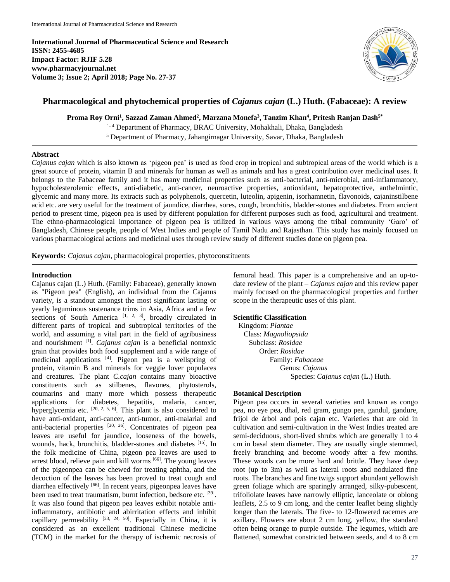**International Journal of Pharmaceutical Science and Research ISSN: 2455-4685 Impact Factor: RJIF 5.28 www.pharmacyjournal.net Volume 3; Issue 2; April 2018; Page No. 27-37**



# **Pharmacological and phytochemical properties of** *Cajanus cajan* **(L.) Huth. (Fabaceae): A review**

**Proma Roy Orni<sup>1</sup> , Sazzad Zaman Ahmed<sup>2</sup> , Marzana Monefa<sup>3</sup> , Tanzim Khan<sup>4</sup> , Pritesh Ranjan Dash5\***

<sup>1-4</sup> Department of Pharmacy, BRAC University, Mohakhali, Dhaka, Bangladesh <sup>5</sup> Department of Pharmacy, Jahangirnagar University, Savar, Dhaka, Bangladesh

### **Abstract**

*Cajanus cajan* which is also known as 'pigeon pea' is used as food crop in tropical and subtropical areas of the world which is a great source of protein, vitamin B and minerals for human as well as animals and has a great contribution over medicinal uses. It belongs to the Fabaceae family and it has many medicinal properties such as anti-bacterial, anti-microbial, anti-inflammatory, hypocholesterolemic effects, anti-diabetic, anti-cancer, neuroactive properties, antioxidant, hepatoprotective, anthelmintic, glycemic and many more. Its extracts such as polyphenols, quercetin, luteolin, apigenin, isorhamnetin, flavonoids, cajaninstilbene acid etc. are very useful for the treatment of jaundice, diarrhea, sores, cough, bronchitis, bladder-stones and diabetes. From ancient period to present time, pigeon pea is used by different population for different purposes such as food, agricultural and treatment. The ethno-pharmacological importance of pigeon pea is utilized in various ways among the tribal community 'Garo' of Bangladesh, Chinese people, people of West Indies and people of Tamil Nadu and Rajasthan. This study has mainly focused on various pharmacological actions and medicinal uses through review study of different studies done on pigeon pea.

**Keywords:** *Cajanus cajan,* pharmacological properties, phytoconstituents

### **Introduction**

Cajanus cajan (L.) Huth. (Family: Fabaceae), generally known as "Pigeon pea" (English), an individual from the Cajanus variety, is a standout amongst the most significant lasting or yearly leguminous sustenance trims in Asia, Africa and a few sections of South America  $[1, 2, 3]$ , broadly circulated in different parts of tropical and subtropical territories of the world, and assuming a vital part in the field of agribusiness and nourishment [1] . *Cajanus cajan* is a beneficial nontoxic grain that provides both food supplement and a wide range of medicinal applications [4]. Pigeon pea is a wellspring of protein, vitamin B and minerals for veggie lover populaces and creatures. The plant *C.cajan* contains many bioactive constituents such as stilbenes, flavones, phytosterols, coumarins and many more which possess therapeutic applications for diabetes, hepatitis, malaria, cancer, hyperglycemia etc.  $[20, 2, 5, 6]$ . This plant is also considered to have anti-oxidant, anti-cancer, anti-tumor, anti-malarial and anti-bacterial properties [20, 26]. Concentrates of pigeon pea leaves are useful for jaundice, looseness of the bowels, wounds, hack, bronchitis, bladder-stones and diabetes [15]. In the folk medicine of China, pigeon pea leaves are used to arrest blood, relieve pain and kill worms [66]. The young leaves of the pigeonpea can be chewed for treating aphtha, and the decoction of the leaves has been proved to treat cough and diarrhea effectively [66]. In recent years, pigeonpea leaves have been used to treat traumatism, burnt infection, bedsore etc. <sup>[39]</sup>. It was also found that pigeon pea leaves exhibit notable antiinflammatory, antibiotic and abirritation effects and inhibit capillary permeability  $[23, 24, 50]$ . Especially in China, it is considered as an excellent traditional Chinese medicine (TCM) in the market for the therapy of ischemic necrosis of

femoral head. This paper is a comprehensive and an up-todate review of the plant – *Cajanus cajan* and this review paper mainly focused on the pharmacological properties and further scope in the therapeutic uses of this plant.

# **Scientific Classification**

Kingdom: *Plantae* Class: *Magnoliopsida* Subclass: *Rosidae* Order: *Rosidae* Family: *Fabaceae* Genus: *Cajanus* Species: *Cajanus cajan* (L.) Huth.

# **Botanical Description**

Pigeon pea occurs in several varieties and known as congo pea, no eye pea, dhal, red gram, gungo pea, gandul, gandure, frijol de árbol and pois cajan etc. Varieties that are old in cultivation and semi-cultivation in the West Indies treated are semi-deciduous, short-lived shrubs which are generally 1 to 4 cm in basal stem diameter. They are usually single stemmed, freely branching and become woody after a few months. These woods can be more hard and brittle. They have deep root (up to 3m) as well as lateral roots and nodulated fine roots. The branches and fine twigs support abundant yellowish green foliage which are sparingly arranged, silky-pubescent, trifoliolate leaves have narrowly elliptic, lanceolate or oblong leaflets, 2.5 to 9 cm long, and the center leaflet being slightly longer than the laterals. The five- to 12-flowered racemes are axillary. Flowers are about 2 cm long, yellow, the standard often being orange to purple outside. The legumes, which are flattened, somewhat constricted between seeds, and 4 to 8 cm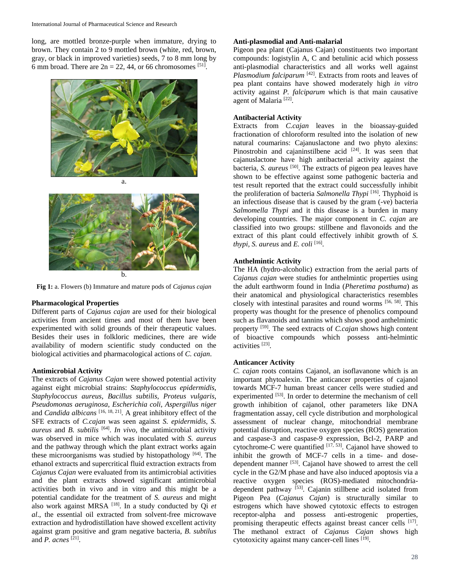long, are mottled bronze-purple when immature, drying to brown. They contain 2 to 9 mottled brown (white, red, brown, gray, or black in improved varieties) seeds, 7 to 8 mm long by 6 mm broad. There are  $2n = 22$ , 44, or 66 chromosomes [51].



b. **Fig 1:** a. Flowers (b) Immature and mature pods of *Cajanus cajan*

#### **Pharmacological Properties**

Different parts of *Cajanus cajan* are used for their biological activities from ancient times and most of them have been experimented with solid grounds of their therapeutic values. Besides their uses in folkloric medicines, there are wide availability of modern scientific study conducted on the biological activities and pharmacological actions of *C. cajan*.

#### **Antimicrobial Activity**

The extracts of *Cajanus Cajan* were showed potential activity against eight microbial strains: *Staphylococcus epidermidis*, *Staphylococcus aureus*, *Bacillus subtilis*, *Proteus vulgaris*, *Pseudomonas aeruginosa*, *Escherichia coli*, *Aspergillus niger* and *Candida albicans* [16, 18, 21]. A great inhibitory effect of the SFE extracts of *C.cajan* was seen against *S. epidermidis*, *S. aureus* and *B. subtilis* [64] . *In vivo,* the antimicrobial activity was observed in mice which was inoculated with *S. aureus* and the pathway through which the plant extract works again these microorganisms was studied by histopathology [64]. The ethanol extracts and supercritical fluid extraction extracts from *Cajanus Cajan* were evaluated from its antimicrobial activities and the plant extracts showed significant antimicrobial activities both in vivo and in vitro and this might be a potential candidate for the treatment of *S. aureus* and might also work against MRSA [18]. In a study conducted by Qi *et al*., the essential oil extracted from solvent-free microwave extraction and hydrodistillation have showed excellent activity against gram positive and gram negative bacteria, *B. subtilus*  and *P. acnes* [21] .

# **Anti-plasmodial and Anti-malarial**

Pigeon pea plant (Cajanus Cajan) constituents two important compounds: logistylin A, C and betulinic acid which possess anti-plasmodial characteristics and all works well against *Plasmodium falciparum* [42]. Extracts from roots and leaves of pea plant contains have showed moderately high *in vitro* activity against *P. falciparum* which is that main causative agent of Malaria<sup>[22]</sup>.

#### **Antibacterial Activity**

Extracts from *C.cajan* leaves in the bioassay-guided fractionation of chloroform resulted into the isolation of new natural coumarins: Cajanuslactone and two phyto alexins: Pinostrobin and cajaninstilbene acid  $[24]$ . It was seen that cajanuslactone have high antibacterial activity against the bacteria, *S. aureus* [50]. The extracts of pigeon pea leaves have shown to be effective against some pathogenic bacteria and test result reported that the extract could successfully inhibit the proliferation of bacteria *Salmonella Thypi* [16]. Thyphoid is an infectious disease that is caused by the gram (-ve) bacteria *Salmomella Thypi* and it this disease is a burden in many developing countries. The major component in *C. cajan* are classified into two groups: stillbene and flavonoids and the extract of this plant could effectively inhibit growth of *S. thypi, S. aureus* and *E. coli* [16] .

### **Anthelmintic Activity**

The HA (hydro-alcoholic) extraction from the aerial parts of *Cajanus cajan* were studies for anthelmintic properties using the adult earthworm found in India (*Pheretima posthuma*) as their anatomical and physiological characteristics resembles closely with intestinal parasites and round worms [56, 58]. This property was thought for the presence of phenolics compound such as flavanoids and tannins which shows good anthelmintic property [59]. The seed extracts of *C.cajan* shows high content of bioactive compounds which possess anti-helmintic activities [23] .

#### **Anticancer Activity**

*C. cajan* roots contains Cajanol, an isoflavanone which is an important phytoalexin. The anticancer properties of cajanol towards MCF-7 human breast cancer cells were studied and experimented [53]. In order to determine the mechanism of cell growth inhibition of cajanol, other parameters like DNA fragmentation assay, cell cycle distribution and morphological assessment of nuclear change, mitochondrial membrane potential disruption, reactive oxygen species (ROS) generation and caspase-3 and caspase-9 expression, Bcl-2, PARP and cytochrome-C were quantified  $\frac{[17, 53]}{[17, 53]}$ . Cajanol have showed to inhibit the growth of MCF-7 cells in a time- and dosedependent manner [53]. Cajanol have showed to arrest the cell cycle in the G2/M phase and have also induced apoptosis via a reactive oxygen species (ROS)-mediated mitochondriadependent pathway [53]. Cajanin stillbene acid isolated from Pigeon Pea (*Cajanus Cajan*) is structurally similar to estrogens which have showed cytotoxic effects to estrogen receptor-alpha and possess anti-estrogenic properties, promising therapeutic effects against breast cancer cells [17]. The methanol extract of *Cajanus Cajan* shows high cytotoxicity against many cancer-cell lines [19].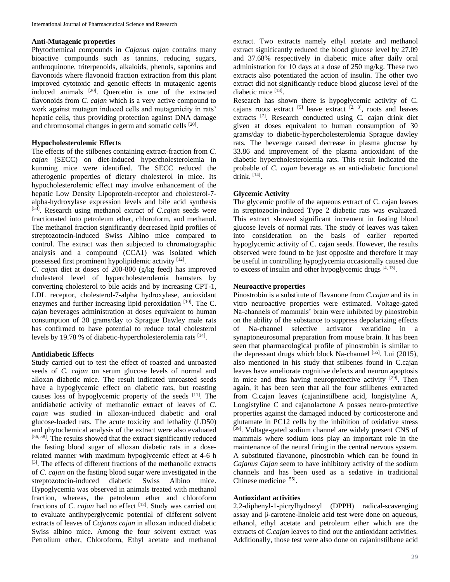#### **Anti-Mutagenic properties**

Phytochemical compounds in *Cajanus cajan* contains many bioactive compounds such as tannins, reducing sugars, anthroquinone, triterpenoids, alkaloids, phenols, saponins and flavonoids where flavonoid fraction extraction from this plant improved cytotoxic and genotic effects in mutagenic agents induced animals [20]. Quercetin is one of the extracted flavonoids from *C. cajan* which is a very active compound to work against mutagen induced cells and mutagenicity in rats' hepatic cells, thus providing protection against DNA damage and chromosomal changes in germ and somatic cells <sup>[20]</sup>.

#### **Hypocholesterolemic Effects**

The effects of the stilbenes containing extract-fraction from *C. cajan* (SECC) on diet-induced hypercholesterolemia in kunming mice were identified. The SECC reduced the atherogenic properties of dietary cholesterol in mice. Its hypocholesterolemic effect may involve enhancement of the hepatic Low Density Lipoprotein-receptor and cholesterol-7 alpha-hydroxylase expression levels and bile acid synthesis [53]. Research using methanol extract of *C.cajan* seeds were fractionated into petroleum ether, chloroform, and methanol. The methanol fraction significantly decreased lipid profiles of streptozotocin-induced Swiss Albino mice compared to control. The extract was then subjected to chromatographic analysis and a compound (CCA1) was isolated which possessed first prominent hypolipidemic activity [12].

*C. cajan* diet at doses of 200-800 (g/kg feed) has improved cholesterol level of hypercholesterolemia hamsters by converting cholesterol to bile acids and by increasing CPT-1, LDL receptor, cholesterol-7-alpha hydroxylase, antioxidant enzymes and further increasing lipid peroxidation  $[10]$ . The C. cajan beverages administration at doses equivalent to human consumption of 30 grams/day to Sprague Dawley male rats has confirmed to have potential to reduce total cholesterol levels by 19.78 % of diabetic-hypercholesterolemia rats [14].

#### **Antidiabetic Effects**

Study carried out to test the effect of roasted and unroasted seeds of *C. cajan* on serum glucose levels of normal and alloxan diabetic mice. The result indicated unroasted seeds have a hypoglycemic effect on diabetic rats, but roasting causes loss of hypoglycemic property of the seeds [11]. The antidiabetic activity of methanolic extract of leaves of *C. cajan* was studied in alloxan-induced diabetic and oral glucose-loaded rats. The acute toxicity and lethality (LD50) and phytochemical analysis of the extract were also evaluated [56, 58]. The results showed that the extract significantly reduced the fasting blood sugar of alloxan diabetic rats in a doserelated manner with maximum hypoglycemic effect at 4-6 h [3]. The effects of different fractions of the methanolic extracts of *C. cajan* on the fasting blood sugar were investigated in the streptozotocin-induced diabetic Swiss Albino mice. Hypoglycemia was observed in animals treated with methanol fraction, whereas, the petroleum ether and chloroform fractions of *C. cajan* had no effect <sup>[12]</sup>. Study was carried out to evaluate antihyperglycemic potential of different solvent extracts of leaves of *Cajanus cajan* in alloxan induced diabetic Swiss albino mice. Among the four solvent extract was Petrolium ether, Chloroform, Ethyl acetate and methanol

extract. Two extracts namely ethyl acetate and methanol extract significantly reduced the blood glucose level by 27.09 and 37.68% respectively in diabetic mice after daily oral administration for 10 days at a dose of 250 mg/kg. These two extracts also potentiated the action of insulin. The other two extract did not significantly reduce blood glucose level of the diabetic mice [13].

Research has shown there is hypoglycemic activity of C. cajans roots extract  $[5]$  leave extract  $[2, 3]$ , roots and leaves extracts <a>[7]</a>. Research conducted using C. cajan drink diet given at doses equivalent to human consumption of 30 grams/day to diabetic-hypercholesterolemia Sprague dawley rats. The beverage caused decrease in plasma glucose by 33.86 and improvement of the plasma antioxidant of the diabetic hypercholesterolemia rats. This result indicated the probable of *C. cajan* beverage as an anti-diabetic functional drink. [14] .

# **Glycemic Activity**

The glycemic profile of the aqueous extract of C. cajan leaves in streptozocin-induced Type 2 diabetic rats was evaluated. This extract showed significant increment in fasting blood glucose levels of normal rats. The study of leaves was taken into consideration on the basis of earlier reported hypoglycemic activity of C. cajan seeds. However, the results observed were found to be just opposite and therefore it may be useful in controlling hypoglycemia occasionally caused due to excess of insulin and other hypoglycemic drugs  $[4, 13]$ .

#### **Neuroactive properties**

Pinostrobin is a substitute of flavanone from *C.cajan* and its in vitro neuroactive properties were estimated. Voltage-gated Na-channels of mammals' brain were inhibited by pinostrobin on the ability of the substance to suppress depolarizing effects of Na-channel selective activator veratidine in a synaptoneurosomal preparation from mouse brain. It has been seen that pharmacological profile of pinostrobin is similar to the depressant drugs which block Na-channel  $[55]$ . Lui (2015), also mentioned in his study that stilbenes found in C.cajan leaves have ameliorate cognitive defects and neuron apoptosis in mice and thus having neuroprotective activity  $[29]$ . Then again, it has been seen that all the four stillbenes extracted from C.cajan leaves (cajaninstilbene acid, longistyline A, Longistyline C and cajanolactone A posses neuro-protective properties against the damaged induced by corticosterone and glutamate in PC12 cells by the inhibition of oxidative stress [29]. Voltage-gated sodium channel are widely present CNS of mammals where sodium ions play an important role in the maintenance of the neural firing in the central nervous system. A substituted flavanone, pinostrobin which can be found in *Cajanus Cajan* seem to have inhibitory activity of the sodium channels and has been used as a sedative in traditional Chinese medicine [55].

#### **Antioxidant activities**

2,2-diphenyl-1-picrylhydrazyl (DPPH) radical-scavenging assay and β-carotene-linoleic acid test were done on aqueous, ethanol, ethyl acetate and petroleum ether which are the extracts of *C.cajan* leaves to find out the antioxidant activities. Additionally, those test were also done on cajaninstilbene acid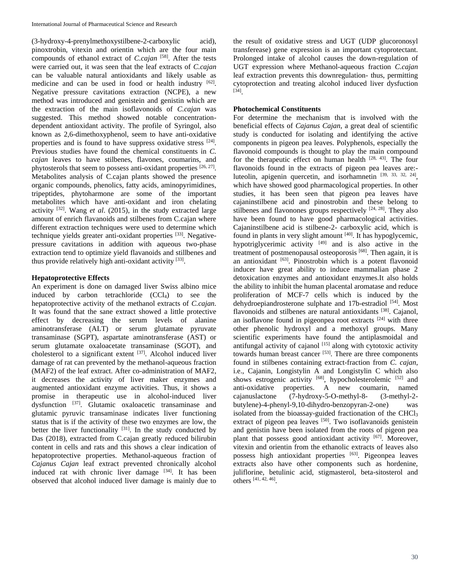(3-hydroxy-4-prenylmethoxystilbene-2-carboxylic acid), pinoxtrobin, vitexin and orientin which are the four main compounds of ethanol extract of *C.cajan* [58] . After the tests were carried out, it was seen that the leaf extracts of *C.cajan* can be valuable natural antioxidants and likely usable as medicine and can be used in food or health industry [62]. Negative pressure cavitations extraction (NCPE), a new method was introduced and genistein and genistin which are the extraction of the main isoflavonoids of *C.cajan* was suggested. This method showed notable concentrationdependent antioxidant activity. The profile of Syringol, also known as 2,6-dimethoxyphenol, seem to have anti-oxidative properties and is found to have suppress oxidative stress [24]. Previous studies have found the chemical constituents in *C. cajan* leaves to have stilbenes, flavones, coumarins, and phytosterols that seem to possess anti-oxidant properties [26, 27]. Metabolites analysis of C.cajan plants showed the presence organic compounds, phenolics, fatty acids, aminopyrimidines, tripeptides, phytoharmone are some of the important metabolites which have anti-oxidant and iron chelating activity [32] . Wang *et al*. (2015), in the study extracted large amount of enrich flavanoids and stilbenes from C.cajan where different extraction techniques were used to determine which technique yields greater anti-oxidant properties [33]. Negativepressure cavitations in addition with aqueous two-phase extraction tend to optimize yield flavanoids and stillbenes and thus provide relatively high anti-oxidant activity [33].

# **Hepatoprotective Effects**

An experiment is done on damaged liver Swiss albino mice induced by carbon tetrachloride  $(CCl<sub>4</sub>)$  to see the hepatoprotective activity of the methanol extracts of *C.cajan.*  It was found that the sane extract showed a little protective effect by decreasing the serum levels of alanine aminotransferase (ALT) or serum glutamate pyruvate transaminase (SGPT), aspartate aminotransferase (AST) or serum glutamate oxaloacetate transaminase (SGOT), and cholesterol to a significant extent  $[37]$ . Alcohol induced liver damage of rat can prevented by the methanol-aqueous fraction (MAF2) of the leaf extract. After co-administration of MAF2, it decreases the activity of liver maker enzymes and augmented antioxidant enzyme activities. Thus, it shows a promise in therapeutic use in alcohol-induced liver dysfunction [37]. Glutamic oxaloacetic transaminase and glutamic pyruvic transaminase indicates liver functioning status that is if the activity of these two enzymes are low, the better the liver functionality  $[31]$ . In the study conducted by Das (2018), extracted from C.cajan greatly reduced bilirubin content in cells and rats and this shows a clear indication of hepatoprotective properties. Methanol-aqueous fraction of *Cajanus Cajan* leaf extract prevented chronically alcohol induced rat with chronic liver damage  $[34]$ . It has been observed that alcohol induced liver damage is mainly due to

the result of oxidative stress and UGT (UDP glucoronosyl transferease) gene expression is an important cytoprotectant. Prolonged intake of alcohol causes the down-regulation of UGT expression where Methanol-aqueous fraction *C.cajan* leaf extraction prevents this downregulation- thus, permitting cytoprotection and treating alcohol induced liver dysfuction [34] .

# **Photochemical Constituents**

For determine the mechanism that is involved with the beneficial effects of *Cajanus Cajan*, a great deal of scientific study is conducted for isolating and identifying the active components in pigeon pea leaves. Polyphenols, especially the flavonoid compounds is thought to play the main compound for the therapeutic effect on human health  $[28, 43]$ . The four flavonoids found in the extracts of pigeon pea leaves are: luteolin, apigenin quercetin, and isorhamnetin  $[39, 33, 32, 24]$ , which have showed good pharmacological properties. In other studies, it has been seen that pigeon pea leaves have cajaninstilbene acid and pinostrobin and these belong to stilbenes and flavonones groups respectively  $[24, 28]$ . They also have been found to have good pharmacological activities. Cajaninstilbene acid is stilbene-2- carboxylic acid, which is found in plants in very slight amount [40]. It has hypoglycemic, hypotriglycerimic activity  $[49]$  and is also active in the treatment of postmenopausal osteoporosis [68]. Then again, it is an antioxidant  $[63]$ . Pinostrobin which is a potent flavonoid inducer have great ability to induce mammalian phase 2 detoxication enzymes and antioxidant enzymes.It also holds the ability to inhibit the human placental aromatase and reduce proliferation of MCF-7 cells which is induced by the dehydroepiandrosterone sulphate and 17b-estradiol<sup>[54]</sup>. Most flavonoids and stilbenes are natural antioxidants [38]. Cajanol, an isoflavone found in pigeonpea root extracts  $[24]$  with three other phenolic hydroxyl and a methoxyl groups. Many scientific experiments have found the antiplasmoidal and antifungal activity of cajanol  $[15]$  along with cytotoxic activity towards human breast cancer [53]. There are three components found in stilbenes containing extract-fraction from *C. cajan*, i.e., Cajanin, Longistylin A and Longistylin C which also shows estrogenic activity  $[68]$ , hypocholesterolemic  $[52]$  and anti-oxidative properties. A new coumarin, named cajanuslactone (7-hydroxy-5-O-methyl-8- (3-methyl-2 butylene)-4-phenyl-9,10-dihydro-benzopyran-2-one) was isolated from the bioassay-guided fractionation of the CHCl $_3$ extract of pigeon pea leaves [50]. Two isoflavanoids genistein and genistin have been isolated from the roots of pigeon pea plant that possess good antioxidant activity [67]. Moreover, vitexin and orientin from the ethanolic extracts of leaves also possess high antioxidant properties [63]. Pigeonpea leaves extracts also have other components such as hordenine, juliflorine, betulinic acid, stigmasterol, beta-sitosterol and others [41, 42, 46] .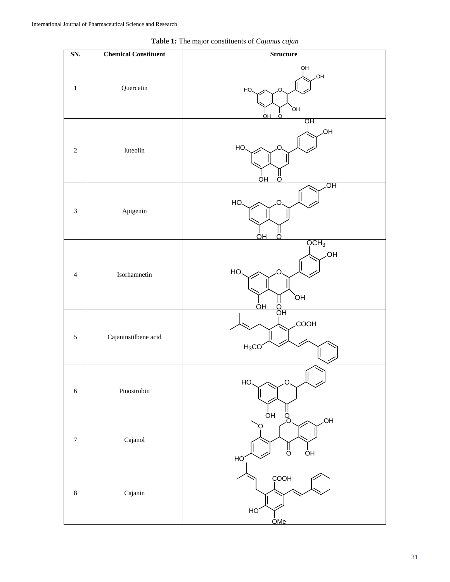| SN.              | <b>Chemical Constituent</b> | <b>Structure</b>                                                            |
|------------------|-----------------------------|-----------------------------------------------------------------------------|
| $\,1$            | Quercetin                   | QH<br>.OH<br>HO.<br>റ<br>`ОН<br>ő<br>OН                                     |
| $\sqrt{2}$       | luteolin                    | ÓН<br>,OH<br>HO.<br>C<br>OН<br>Ω                                            |
| $\mathfrak 3$    | Apigenin                    | ЮH<br>HO<br>റ<br>OΗ                                                         |
| $\overline{4}$   | Isorhamnetin                | OCH <sub>3</sub><br>HO.<br>HO.<br>O<br>ЮÍ<br>$rac{1}{\overline{Q}}$ H<br>OH |
| $\sqrt{5}$       | Cajaninstilbene acid        | <b>COOH</b><br>$H_3CO$                                                      |
| $\sqrt{6}$       | Pinostrobin                 | HO.<br>$\mathsf{O}$<br>OН<br>$\frac{0}{0}$                                  |
| $\boldsymbol{7}$ | Cajanol                     | OH<br>$\frac{11}{5}$<br>ÒН<br>НC                                            |
| $\,8\,$          | Cajanin                     | COOH<br>HO <sub>.</sub><br><u>OMe</u>                                       |

**Table 1:** The major constituents of *Cajanus cajan*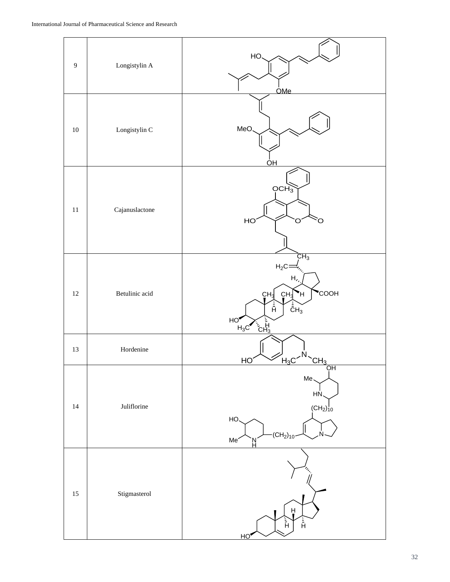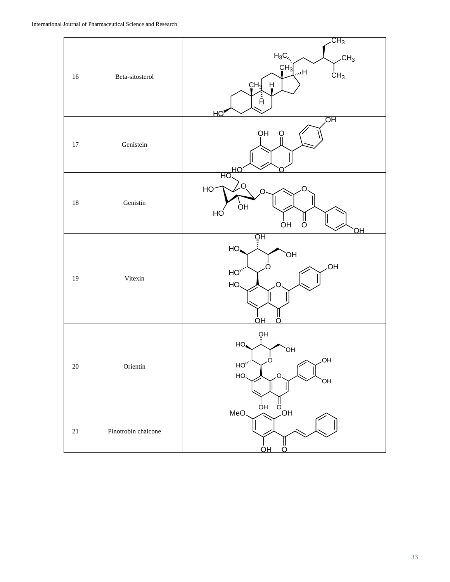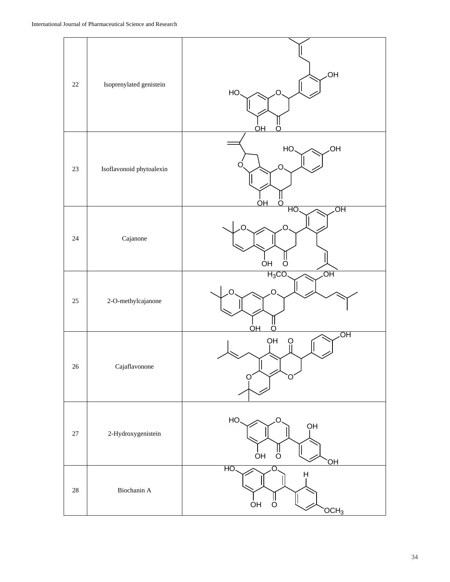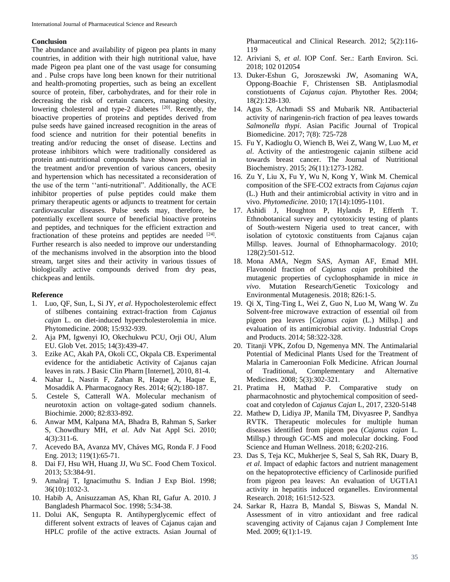#### **Conclusion**

The abundance and availability of pigeon pea plants in many countries, in addition with their high nutritional value, have made Pigeon pea plant one of the vast usage for consuming and . Pulse crops have long been known for their nutritional and health-promoting properties, such as being an excellent source of protein, fiber, carbohydrates, and for their role in decreasing the risk of certain cancers, managing obesity, lowering cholesterol and type-2 diabetes [20]. Recently, the bioactive properties of proteins and peptides derived from pulse seeds have gained increased recognition in the areas of food science and nutrition for their potential benefits in treating and/or reducing the onset of disease. Lectins and protease inhibitors which were traditionally considered as protein anti-nutritional compounds have shown potential in the treatment and/or prevention of various cancers, obesity and hypertension which has necessitated a reconsideration of the use of the term ''anti-nutritional". Additionally, the ACE inhibitor properties of pulse peptides could make them primary therapeutic agents or adjuncts to treatment for certain cardiovascular diseases. Pulse seeds may, therefore, be potentially excellent source of beneficial bioactive proteins and peptides, and techniques for the efficient extraction and fractionation of these proteins and peptides are needed  $[24]$ . Further research is also needed to improve our understanding of the mechanisms involved in the absorption into the blood stream, target sites and their activity in various tissues of biologically active compounds derived from dry peas, chickpeas and lentils.

#### **Reference**

- 1. Luo, QF, Sun, L, Si JY, *et al*. Hypocholesterolemic effect of stilbenes containing extract-fraction from *Cajanus cajan* L. on diet-induced hypercholesterolemia in mice. Phytomedicine. 2008; 15:932-939.
- 2. Aja PM, Igwenyi IO, Okechukwu PCU, Orji OU, Alum EU. Glob Vet. 2015; 14(3):439-47.
- 3. Ezike AC, Akah PA, Okoli CC, Okpala CB. Experimental evidence for the antidiabetic Activity of Cajanus cajan leaves in rats. J Basic Clin Pharm [Internet], 2010, 81-4.
- 4. Nahar L, Nasrin F, Zahan R, Haque A, Haque E, Mosaddik A. Pharmacognocy Res. 2014; 6(2):180-187.
- 5. Cestele S, Catterall WA. Molecular mechanism of neurotoxin action on voltage-gated sodium channels. Biochimie. 2000; 82:833-892.
- 6. Anwar MM, Kalpana MA, Bhadra B, Rahman S, Sarker S, Chowdhury MH, *et al*. Adv Nat Appl Sci. 2010; 4(3):311-6.
- 7. Acevedo BA, Avanza MV, Cháves MG, Ronda F. J Food Eng. 2013; 119(1):65-71.
- 8. Dai FJ, Hsu WH, Huang JJ, Wu SC. Food Chem Toxicol. 2013; 53:384-91.
- 9. Amalraj T, Ignacimuthu S. Indian J Exp Biol. 1998; 36(10):1032-3.
- 10. Habib A, Anisuzzaman AS, Khan RI, Gafur A. 2010. J Bangladesh Pharmacol Soc. 1998; 5:34-38.
- 11. Dolui AK, Sengupta R. Antihyperglycemic effect of different solvent extracts of leaves of Cajanus cajan and HPLC profile of the active extracts. Asian Journal of

Pharmaceutical and Clinical Research. 2012; 5(2):116- 119

- 12. Ariviani S, *et al*. IOP Conf. Ser.: Earth Environ. Sci. 2018; 102 012054
- 13. Duker-Eshun G, Joroszewski JW, Asomaning WA, Oppong-Boachie F, Christensen SB. Antiplasmodial constiotuents of *Cajanus cajan*. Phytother Res. 2004; 18(2):128-130.
- 14. Agus S, Achmadi SS and Mubarik NR. Antibacterial activity of naringenin-rich fraction of pea leaves towards *Salmonella thypi*. Asian Pacific Journal of Tropical Biomedicine. 2017; 7(8): 725-728
- 15. Fu Y, Kadioglu O, Wiench B, Wei Z, Wang W, Luo M, *et al*. Activity of the antiestrogenic cajanin stilbene acid towards breast cancer. The Journal of Nutritional Biochemistry. 2015; 26(11):1273-1282.
- 16. Zu Y, Liu X, Fu Y, Wu N, Kong Y, Wink M. Chemical composition of the SFE-CO2 extracts from *Cajanus cajan* (L.) Huth and their antimicrobial activity in vitro and in vivo. *Phytomedicine.* 2010; 17(14):1095-1101.
- 17. Ashidi J, Houghton P, Hylands P, Efferth T. Ethnobotanical survey and cytotoxicity testing of plants of South-western Nigeria used to treat cancer, with isolation of cytotoxic constituents from Cajanus cajan Millsp. leaves. Journal of Ethnopharmacology. 2010; 128(2):501-512.
- 18. Mona AMA, Negm SAS, Ayman AF, Emad MH. Flavonoid fraction of *Cajanus cajan* prohibited the mutagenic properties of cyclophosphamide in mice *in vivo*. Mutation Research/Genetic Toxicology and Environmental Mutagenesis. 2018; 826:1-5.
- 19. Qi X, Ting-Ting L, Wei Z, Guo N, Luo M, Wang W. Zu Solvent-free microwave extraction of essential oil from pigeon pea leaves [*Cajanus cajan* (L.) Millsp.] and evaluation of its antimicrobial activity. Industrial Crops and Products. 2014; 58:322-328.
- 20. Titanji VPK, Zofou D, Ngemenya MN. The Antimalarial Potential of Medicinal Plants Used for the Treatment of Malaria in Cameroonian Folk Medicine. African Journal of Traditional, Complementary and Alternative Medicines. 2008; 5(3):302-321.
- 21. Pratima H, Mathad P. Comparative study on pharmacohnostic and phytochemical composition of seedcoat and cotyledon of *Cajanus Cajan* L, 2017, 2320-5148
- 22. Mathew D, Lidiya JP, Manila TM, Divyasree P, Sandhya RVTK. Therapeutic molecules for multiple human diseases identified from pigeon pea (*Cajanus cajan* L. Millsp.) through GC-MS and molecular docking. Food Science and Human Wellness. 2018; 6:202-216.
- 23. Das S, Teja KC, Mukherjee S, Seal S, Sah RK, Duary B, *et al*. Impact of edaphic factors and nutrient management on the hepatoprotective efficiency of Carlinoside purified from pigeon pea leaves: An evaluation of UGT1A1 activity in hepatitis induced organelles. Environmental Research. 2018; 161:512-523.
- 24. Sarkar R, Hazra B, Mandal S, Biswas S, Mandal N. Assessment of in vitro antioxidant and free radical scavenging activity of Cajanus cajan J Complement Inte Med. 2009; 6(1):1-19.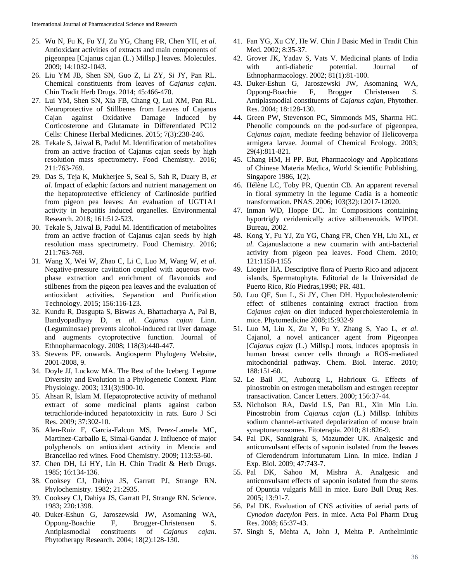- 25. Wu N, Fu K, Fu YJ, Zu YG, Chang FR, Chen YH, *et al*. Antioxidant activities of extracts and main components of pigeonpea [Cajanus cajan (L.) Millsp.] leaves. Molecules. 2009; 14:1032-1043.
- 26. Liu YM JB, Shen SN, Guo Z, Li ZY, Si JY, Pan RL. Chemical constituents from leaves of *Cajanus cajan*. Chin Tradit Herb Drugs. 2014; 45:466-470.
- 27. Lui YM, Shen SN, Xia FB, Chang Q, Lui XM, Pan RL. Neuroprotective of Stillbenes from Leaves of Cajanus Cajan against Oxidative Damage Induced by Corticosterone and Glutamate in Differentiated PC12 Cells: Chinese Herbal Medicines. 2015; 7(3):238-246.
- 28. Tekale S, Jaiwal B, Padul M. Identification of metabolites from an active fraction of Cajanus cajan seeds by high resolution mass spectrometry. Food Chemistry. 2016; 211:763-769.
- 29. Das S, Teja K, Mukherjee S, Seal S, Sah R, Duary B, *et al*. Impact of edaphic factors and nutrient management on the hepatoprotective efficiency of Carlinoside purified from pigeon pea leaves: An evaluation of UGT1A1 activity in hepatitis induced organelles. Environmental Research. 2018; 161:512-523.
- 30. Tekale S, Jaiwal B, Padul M. Identification of metabolites from an active fraction of Cajanus cajan seeds by high resolution mass spectrometry. Food Chemistry. 2016; 211:763-769.
- 31. Wang X, Wei W, Zhao C, Li C, Luo M, Wang W, *et al*. Negative-pressure cavitation coupled with aqueous twophase extraction and enrichment of flavonoids and stilbenes from the pigeon pea leaves and the evaluation of antioxidant activities. Separation and Purification Technology. 2015; 156:116-123.
- 32. Kundu R, Dasgupta S, Biswas A, Bhattacharya A, Pal B, Bandyopadhyay D, *et al*. *Cajanus cajan* Linn. (Leguminosae) prevents alcohol-induced rat liver damage and augments cytoprotective function. Journal of Ethnopharmacology. 2008; 118(3):440-447.
- 33. Stevens PF. onwards. Angiosperm Phylogeny Website, 2001-2008, 9.
- 34. Doyle JJ, Luckow MA. The Rest of the Iceberg. Legume Diversity and Evolution in a Phylogenetic Context. Plant Physiology. 2003; 131(3):900-10.
- 35. Ahsan R, Islam M. Hepatoprotective activity of methanol extract of some medicinal plants against carbon tetrachloride-induced hepatotoxicity in rats. Euro J Sci Res. 2009; 37:302-10.
- 36. Alen-Ruiz F, Garcia-Falcon MS, Perez-Lamela MC, Martinez-Carballo E, Simal-Gandar J. Influence of major polyphenols on antioxidant activity in Mencia and Brancellao red wines. Food Chemistry. 2009; 113:53-60.
- 37. Chen DH, Li HY, Lin H. Chin Tradit & Herb Drugs. 1985; 16:134-136.
- 38. Cooksey CJ, Dahiya JS, Garratt PJ, Strange RN. Phylochemistry. 1982; 21:2935.
- 39. Cooksey CJ, Dahiya JS, Garratt PJ, Strange RN. Science. 1983; 220:1398.
- 40. Duker-Eshun G, Jaroszewski JW, Asomaning WA, Oppong-Boachie F, Brogger-Christensen S. Antiplasmodial constituents of *Cajanus cajan*. Phytotherapy Research. 2004; 18(2):128-130.
- 41. Fan YG, Xu CY, He W. Chin J Basic Med in Tradit Chin Med. 2002; 8:35-37.
- 42. Grover JK, Yadav S, Vats V. Medicinal plants of India with anti-diabetic potential. Journal of Ethnopharmacology. 2002; 81(1):81-100.
- 43. Duker-Eshun G, Jaroszewski JW, Asomaning WA, Oppong-Boachie F, Brogger Christensen S. Antiplasmodial constituents of *Cajanus cajan*, Phytother. Res. 2004; 18:128-130.
- 44. Green PW, Stevenson PC, Simmonds MS, Sharma HC. Phenolic compounds on the pod-surface of pigeonpea, *Cajanus cajan*, mediate feeding behavior of Helicoverpa armigera larvae. Journal of Chemical Ecology. 2003; 29(4):811-821.
- 45. Chang HM, H PP. But, Pharmacology and Applications of Chinese Materia Medica, World Scientific Publishing, Singapore 1986, 1(2).
- 46. Hélène LC, Toby PR, Quentin CB. An apparent reversal in floral symmetry in the legume Cadia is a homeotic transformation. PNAS. 2006; 103(32):12017-12020.
- 47. Inman WD, Hoppe DC. In: Compositions containing hyportrigly ceridemically active stilbenenoids. WIPOI. Bureau, 2002.
- 48. Kong Y, Fu YJ, Zu YG, Chang FR, Chen YH, Liu XL, *et al*. Cajanuslactone a new coumarin with anti-bacterial activity from pigeon pea leaves. Food Chem. 2010; 121:1150-1155
- 49. Liogier HA. Descriptive flora of Puerto Rico and adjacent islands, Spermatophyta. Editorial de la Universidad de Puerto Rico, Río Piedras,1998; PR. 481.
- 50. Luo QF, Sun L, Si JY, Chen DH. Hypocholesterolemic effect of stilbenes containing extract fraction from *Cajanus cajan* on diet induced hypercholesterolemia in mice. Phytomedicine 2008;15:932-9
- 51. Luo M, Liu X, Zu Y, Fu Y, Zhang S, Yao L, *et al*. Cajanol, a novel anticancer agent from Pigeonpea [*Cajanus cajan* (L.) Millsp.] roots, induces apoptosis in human breast cancer cells through a ROS-mediated mitochondrial pathway. Chem. Biol. Interac. 2010; 188:151-60.
- 52. Le Bail JC, Aubourg L, Habrioux G. Effects of pinostrobin on estrogen metabolism and estrogen receptor transactivation. Cancer Letters. 2000; 156:37-44.
- 53. Nicholson RA, David LS, Pan RL, Xin Min Liu. Pinostrobin from *Cajanus cajan* (L.) Millsp. Inhibits sodium channel-activated depolarization of mouse brain synaptoneurosomes. Fitoterapia. 2010; 81:826-9.
- 54. Pal DK, Sannigrahi S, Mazumder UK. Analgesic and anticonvulsant effects of saponin isolated from the leaves of Clerodendrum infortunatum Linn. In mice. Indian J Exp. Biol. 2009; 47:743-7.
- 55. Pal DK, Sahoo M, Mishra A. Analgesic and anticonvulsant effects of saponin isolated from the stems of Opuntia vulgaris Mill in mice. Euro Bull Drug Res. 2005; 13:91-7.
- 56. Pal DK. Evaluation of CNS activities of aerial parts of *Cynodon dactylon* Pers. in mice. Acta Pol Pharm Drug Res. 2008; 65:37-43.
- 57. Singh S, Mehta A, John J, Mehta P. Anthelmintic